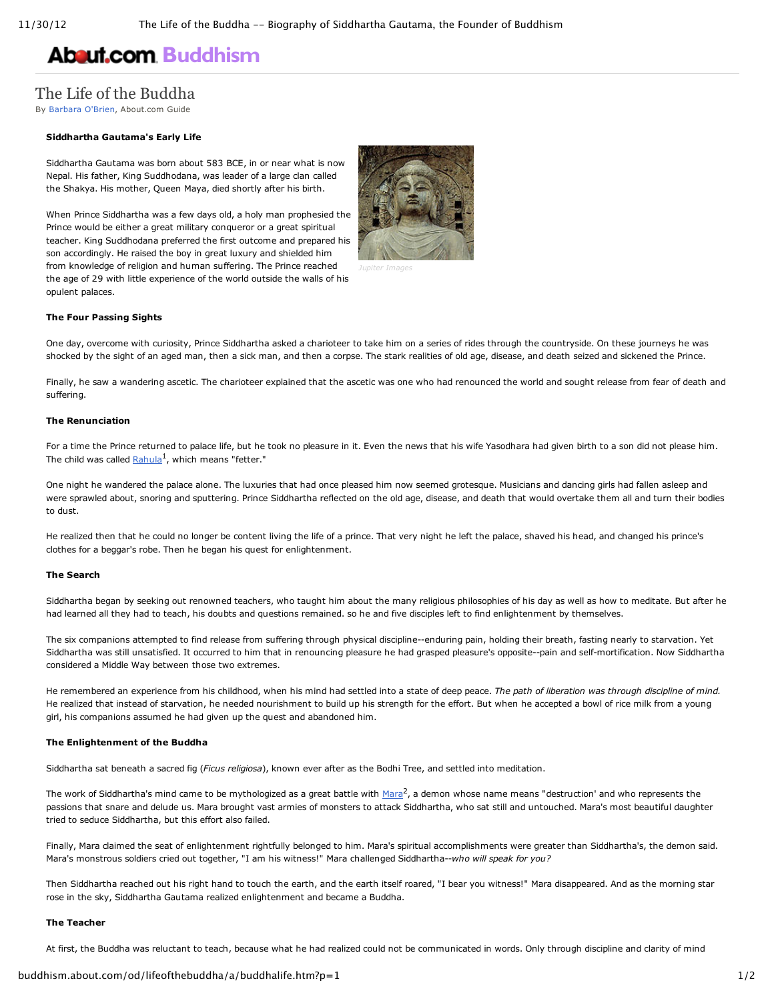# **About.com [Buddhism](http://buddhism.about.com/)**

## The Life of the Buddha

By [Barbara](http://buddhism.about.com/bio/Barbara-O-Brien-38125.htm) O'Brien, About.com Guide

#### **Siddhartha Gautama's Early Life**

Siddhartha Gautama was born about 583 BCE, in or near what is now Nepal. His father, King Suddhodana, was leader of a large clan called the Shakya. His mother, Queen Maya, died shortly after his birth.

When Prince Siddhartha was a few days old, a holy man prophesied the Prince would be either a great military conqueror or a great spiritual teacher. King Suddhodana preferred the first outcome and prepared his son accordingly. He raised the boy in great luxury and shielded him from knowledge of religion and human suffering. The Prince reached the age of 29 with little experience of the world outside the walls of his opulent palaces.



#### **The Four Passing Sights**

One day, overcome with curiosity, Prince Siddhartha asked a charioteer to take him on a series of rides through the countryside. On these journeys he was shocked by the sight of an aged man, then a sick man, and then a corpse. The stark realities of old age, disease, and death seized and sickened the Prince.

Finally, he saw a wandering ascetic. The charioteer explained that the ascetic was one who had renounced the world and sought release from fear of death and suffering.

#### **The Renunciation**

For a time the Prince returned to palace life, but he took no pleasure in it. Even the news that his wife Yasodhara had given birth to a son did not please him. The child was called  $\text{Rahula}^1$  $\text{Rahula}^1$  $\text{Rahula}^1$ , which means "fetter."

One night he wandered the palace alone. The luxuries that had once pleased him now seemed grotesque. Musicians and dancing girls had fallen asleep and were sprawled about, snoring and sputtering. Prince Siddhartha reflected on the old age, disease, and death that would overtake them all and turn their bodies to dust.

He realized then that he could no longer be content living the life of a prince. That very night he left the palace, shaved his head, and changed his prince's clothes for a beggar's robe. Then he began his quest for enlightenment.

#### **The Search**

Siddhartha began by seeking out renowned teachers, who taught him about the many religious philosophies of his day as well as how to meditate. But after he had learned all they had to teach, his doubts and questions remained. so he and five disciples left to find enlightenment by themselves.

The six companions attempted to find release from suffering through physical discipline--enduring pain, holding their breath, fasting nearly to starvation. Yet Siddhartha was still unsatisfied. It occurred to him that in renouncing pleasure he had grasped pleasure's opposite--pain and self-mortification. Now Siddhartha considered a Middle Way between those two extremes.

He remembered an experience from his childhood, when his mind had settled into a state of deep peace. *The path of liberation was through discipline of mind.* He realized that instead of starvation, he needed nourishment to build up his strength for the effort. But when he accepted a bowl of rice milk from a young girl, his companions assumed he had given up the quest and abandoned him.

#### **The Enlightenment of the Buddha**

Siddhartha sat beneath a sacred fig (*Ficus religiosa*), known ever after as the Bodhi Tree, and settled into meditation.

The work of Siddhartha's mind came to be mythologized as a great battle with  $M$ ara $^2$ , a demon whose name means "destruction' and who represents the passions that snare and delude us. Mara brought vast armies of monsters to attack Siddhartha, who sat still and untouched. Mara's most beautiful daughter tried to seduce Siddhartha, but this effort also failed.

Finally, Mara claimed the seat of enlightenment rightfully belonged to him. Mara's spiritual accomplishments were greater than Siddhartha's, the demon said. Mara's monstrous soldiers cried out together, "I am his witness!" Mara challenged Siddhartha--who will speak for you?

Then Siddhartha reached out his right hand to touch the earth, and the earth itself roared, "I bear you witness!" Mara disappeared. And as the morning star rose in the sky, Siddhartha Gautama realized enlightenment and became a Buddha.

#### **The Teacher**

At first, the Buddha was reluctant to teach, because what he had realized could not be communicated in words. Only through discipline and clarity of mind